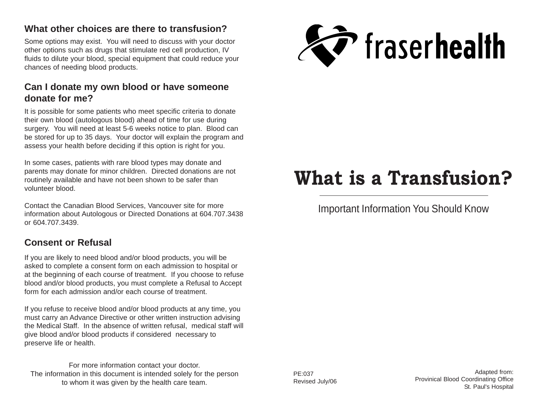#### **What other choices are there to transfusion?**

Some options may exist. You will need to discuss with your doctor other options such as drugs that stimulate red cell production, IV fluids to dilute your blood, special equipment that could reduce your chances of needing blood products.

#### **Can I donate my own blood or have someone donate for me?**

It is possible for some patients who meet specific criteria to donate their own blood (autologous blood) ahead of time for use during surgery. You will need at least 5-6 weeks notice to plan. Blood can be stored for up to 35 days. Your doctor will explain the program and assess your health before deciding if this option is right for you.

In some cases, patients with rare blood types may donate and parents may donate for minor children. Directed donations are not routinely available and have not been shown to be safer than volunteer blood.

Contact the Canadian Blood Services, Vancouver site for more information about Autologous or Directed Donations at 604.707.3438 or 604.707.3439.

### **Consent or Refusal**

If you are likely to need blood and/or blood products, you will be asked to complete a consent form on each admission to hospital or at the beginning of each course of treatment. If you choose to refuse blood and/or blood products, you must complete a Refusal to Accept form for each admission and/or each course of treatment.

If you refuse to receive blood and/or blood products at any time, you must carry an Advance Directive or other written instruction advising the Medical Staff. In the absence of written refusal, medical staff will give blood and/or blood products if considered necessary to preserve life or health.

For more information contact your doctor. The information in this document is intended solely for the person to whom it was given by the health care team.



# **What is a Transfusion?**

# Important Information You Should Know

PE:037 Revised July/06

Adapted from: Provinical Blood Coordinating Office St. Paul's Hospital